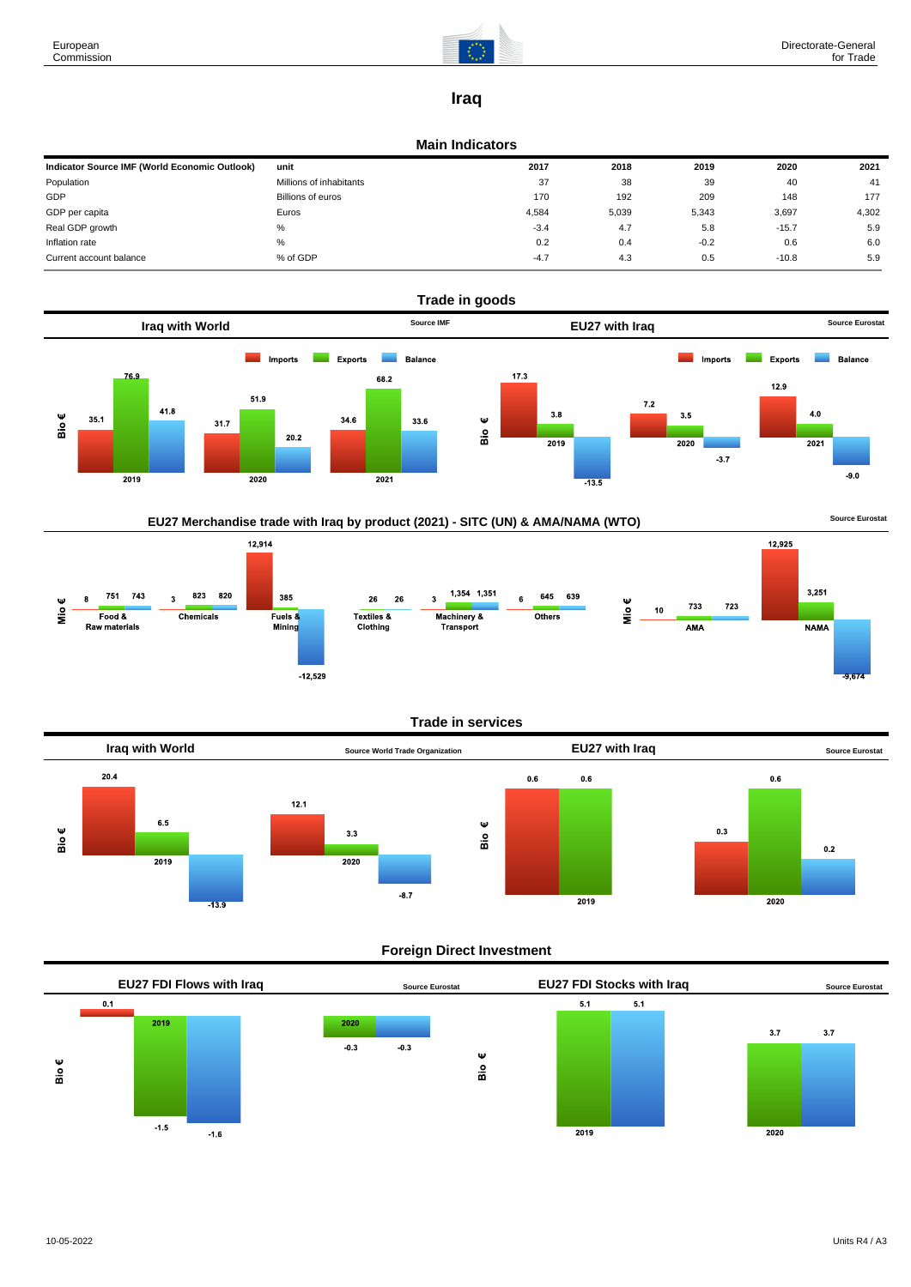

### **Iraq**

#### **Main Indicators**

| Indicator Source IMF (World Economic Outlook) | unit                    | 2017   | 2018  | 2019   | 2020    | 2021  |
|-----------------------------------------------|-------------------------|--------|-------|--------|---------|-------|
| Population                                    | Millions of inhabitants | 37     | 38    | 39     | 40      | 41    |
| GDP                                           | Billions of euros       | 170    | 192   | 209    | 148     | 177   |
| GDP per capita                                | Euros                   | 4,584  | 5,039 | 5,343  | 3,697   | 4,302 |
| Real GDP growth                               | %                       | $-3.4$ | 4.7   | 5.8    | $-15.7$ | 5.9   |
| Inflation rate                                | $\%$                    | 0.2    | 0.4   | $-0.2$ | 0.6     | 6.0   |
| Current account balance                       | % of GDP                | $-4.7$ | 4.3   | 0.5    | $-10.8$ | 5.9   |



## EU27 Merchandise trade with Iraq by product (2021) - SITC (UN) & AMA/NAMA (WTO) **Source Eurostat**



#### **Trade in services**



### **Foreign Direct Investment**